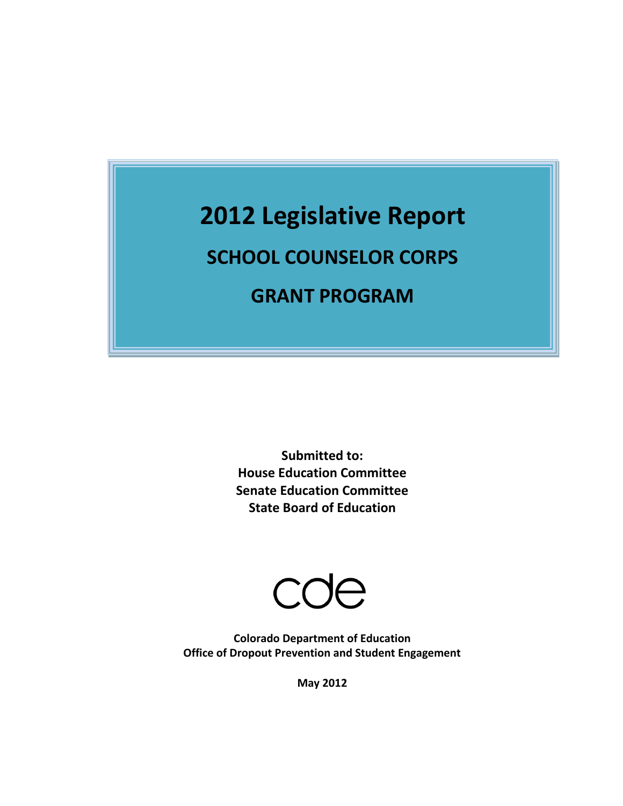# **2012 Legislative Report**

# **SCHOOL COUNSELOR CORPS**

# **GRANT PROGRAM**

**Submitted to: House Education Committee Senate Education Committee State Board of Education**



**Colorado Department of Education Office of Dropout Prevention and Student Engagement**

**May 2012**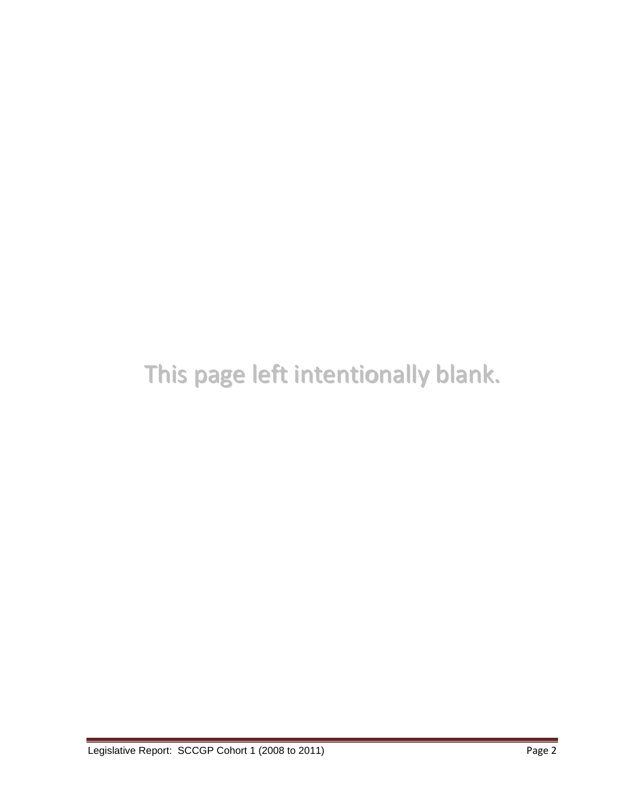# This page left intentionally blank.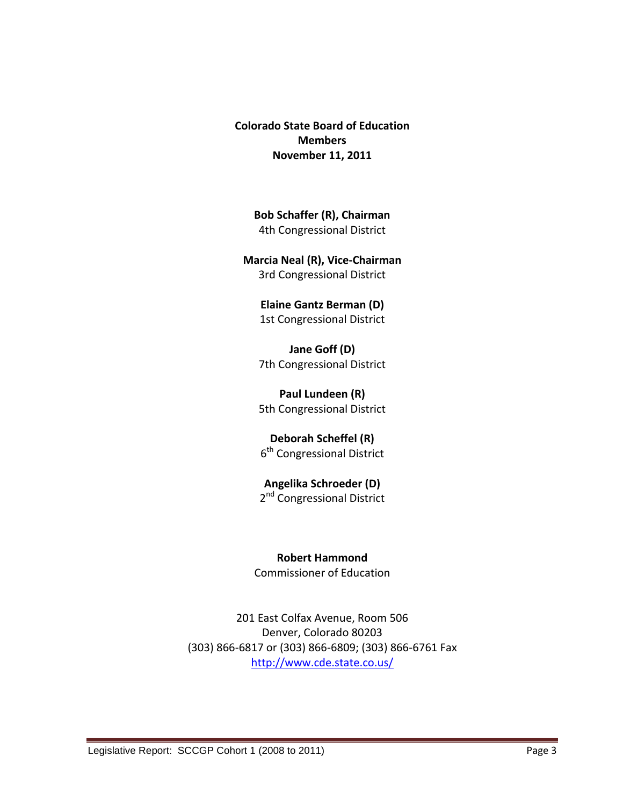#### **Colorado State Board of Education Members November 11, 2011**

**Bob Schaffer (R), Chairman** 4th Congressional District

**Marcia Neal (R), Vice-Chairman** 3rd Congressional District

> **Elaine Gantz Berman (D)** 1st Congressional District

**Jane Goff (D)** 7th Congressional District

**Paul Lundeen (R)** 5th Congressional District

**Deborah Scheffel (R)** 6<sup>th</sup> Congressional District

#### **Angelika Schroeder (D)** 2<sup>nd</sup> Congressional District

**Robert Hammond**

Commissioner of Education

201 East Colfax Avenue, Room 506 Denver, Colorado 80203 (303) 866-6817 or (303) 866-6809; (303) 866-6761 Fax <http://www.cde.state.co.us/>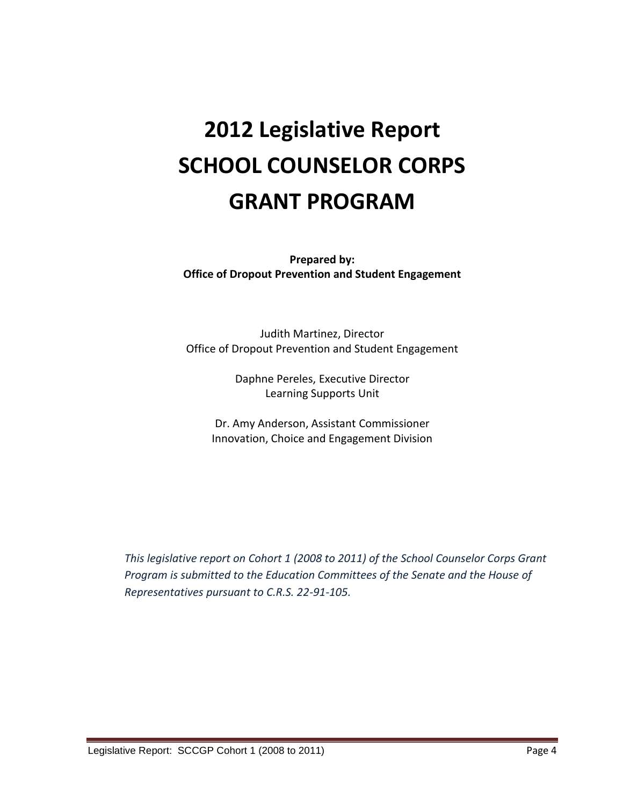# **2012 Legislative Report SCHOOL COUNSELOR CORPS GRANT PROGRAM**

**Prepared by: Office of Dropout Prevention and Student Engagement**

Judith Martinez, Director Office of Dropout Prevention and Student Engagement

> Daphne Pereles, Executive Director Learning Supports Unit

Dr. Amy Anderson, Assistant Commissioner Innovation, Choice and Engagement Division

*This legislative report on Cohort 1 (2008 to 2011) of the School Counselor Corps Grant Program is submitted to the Education Committees of the Senate and the House of Representatives pursuant to C.R.S. 22-91-105.*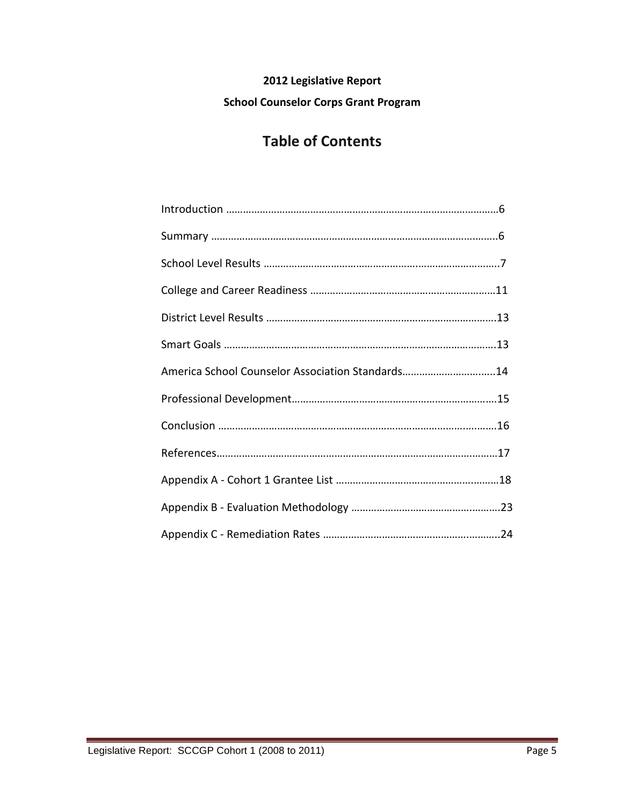# **2012 Legislative Report**

#### **School Counselor Corps Grant Program**

# **Table of Contents**

| America School Counselor Association Standards14 |  |
|--------------------------------------------------|--|
|                                                  |  |
|                                                  |  |
|                                                  |  |
|                                                  |  |
|                                                  |  |
|                                                  |  |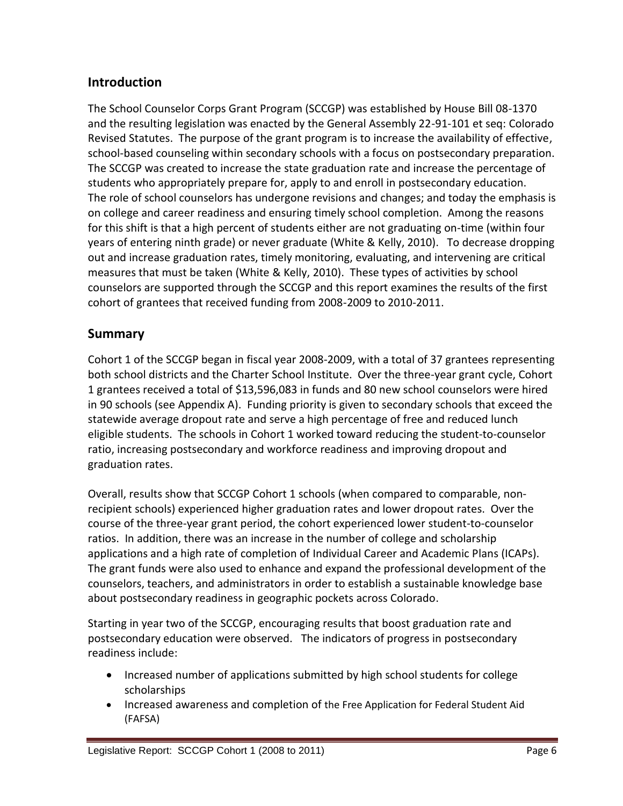### **Introduction**

The School Counselor Corps Grant Program (SCCGP) was established by House Bill 08-1370 and the resulting legislation was enacted by the General Assembly 22-91-101 et seq: Colorado Revised Statutes. The purpose of the grant program is to increase the availability of effective, school-based counseling within secondary schools with a focus on postsecondary preparation. The SCCGP was created to increase the state graduation rate and increase the percentage of students who appropriately prepare for, apply to and enroll in postsecondary education. The role of school counselors has undergone revisions and changes; and today the emphasis is on college and career readiness and ensuring timely school completion. Among the reasons for this shift is that a high percent of students either are not graduating on-time (within four years of entering ninth grade) or never graduate (White & Kelly, 2010). To decrease dropping out and increase graduation rates, timely monitoring, evaluating, and intervening are critical measures that must be taken (White & Kelly, 2010). These types of activities by school counselors are supported through the SCCGP and this report examines the results of the first cohort of grantees that received funding from 2008-2009 to 2010-2011.

## **Summary**

Cohort 1 of the SCCGP began in fiscal year 2008-2009, with a total of 37 grantees representing both school districts and the Charter School Institute. Over the three-year grant cycle, Cohort 1 grantees received a total of \$13,596,083 in funds and 80 new school counselors were hired in 90 schools (see Appendix A). Funding priority is given to secondary schools that exceed the statewide average dropout rate and serve a high percentage of free and reduced lunch eligible students. The schools in Cohort 1 worked toward reducing the student-to-counselor ratio, increasing postsecondary and workforce readiness and improving dropout and graduation rates.

Overall, results show that SCCGP Cohort 1 schools (when compared to comparable, nonrecipient schools) experienced higher graduation rates and lower dropout rates. Over the course of the three-year grant period, the cohort experienced lower student-to-counselor ratios. In addition, there was an increase in the number of college and scholarship applications and a high rate of completion of Individual Career and Academic Plans (ICAPs). The grant funds were also used to enhance and expand the professional development of the counselors, teachers, and administrators in order to establish a sustainable knowledge base about postsecondary readiness in geographic pockets across Colorado.

Starting in year two of the SCCGP, encouraging results that boost graduation rate and postsecondary education were observed. The indicators of progress in postsecondary readiness include:

- Increased number of applications submitted by high school students for college scholarships
- Increased awareness and completion of the Free Application for Federal Student Aid (FAFSA)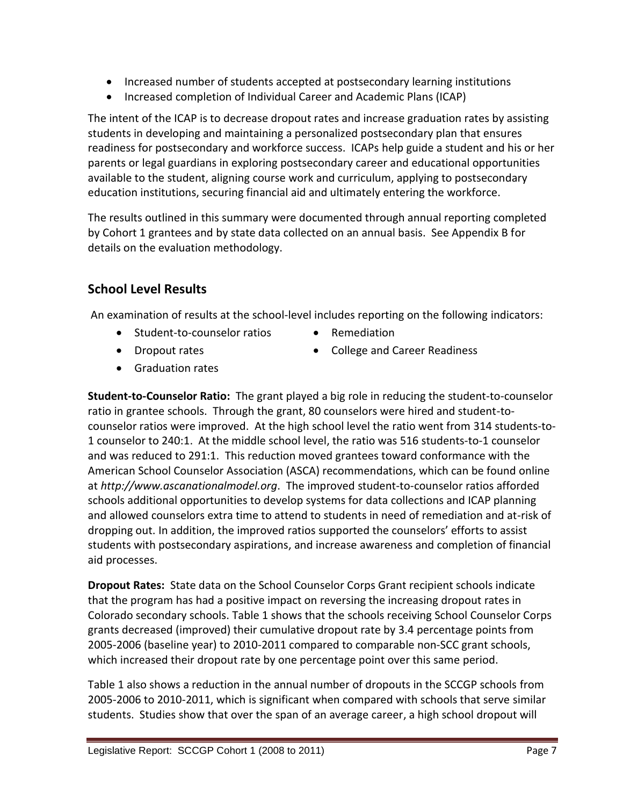- Increased number of students accepted at postsecondary learning institutions
- Increased completion of Individual Career and Academic Plans (ICAP)

The intent of the ICAP is to decrease dropout rates and increase graduation rates by assisting students in developing and maintaining a personalized postsecondary plan that ensures readiness for postsecondary and workforce success. ICAPs help guide a student and his or her parents or legal guardians in exploring postsecondary career and educational opportunities available to the student, aligning course work and curriculum, applying to postsecondary education institutions, securing financial aid and ultimately entering the workforce.

The results outlined in this summary were documented through annual reporting completed by Cohort 1 grantees and by state data collected on an annual basis. See Appendix B for details on the evaluation methodology.

# **School Level Results**

An examination of results at the school-level includes reporting on the following indicators:

- Student-to-counselor ratios Remediation
	-
- 
- Dropout rates **COLLEGE 2018** College and Career Readiness
- **•** Graduation rates

**Student-to-Counselor Ratio:** The grant played a big role in reducing the student-to-counselor ratio in grantee schools. Through the grant, 80 counselors were hired and student-tocounselor ratios were improved. At the high school level the ratio went from 314 students-to-1 counselor to 240:1. At the middle school level, the ratio was 516 students-to-1 counselor and was reduced to 291:1. This reduction moved grantees toward conformance with the American School Counselor Association (ASCA) recommendations, which can be found online at *http://www.ascanationalmodel.org*. The improved student-to-counselor ratios afforded schools additional opportunities to develop systems for data collections and ICAP planning and allowed counselors extra time to attend to students in need of remediation and at-risk of dropping out. In addition, the improved ratios supported the counselors' efforts to assist students with postsecondary aspirations, and increase awareness and completion of financial aid processes.

**Dropout Rates:** State data on the School Counselor Corps Grant recipient schools indicate that the program has had a positive impact on reversing the increasing dropout rates in Colorado secondary schools. Table 1 shows that the schools receiving School Counselor Corps grants decreased (improved) their cumulative dropout rate by 3.4 percentage points from 2005-2006 (baseline year) to 2010-2011 compared to comparable non-SCC grant schools, which increased their dropout rate by one percentage point over this same period.

Table 1 also shows a reduction in the annual number of dropouts in the SCCGP schools from 2005-2006 to 2010-2011, which is significant when compared with schools that serve similar students. Studies show that over the span of an average career, a high school dropout will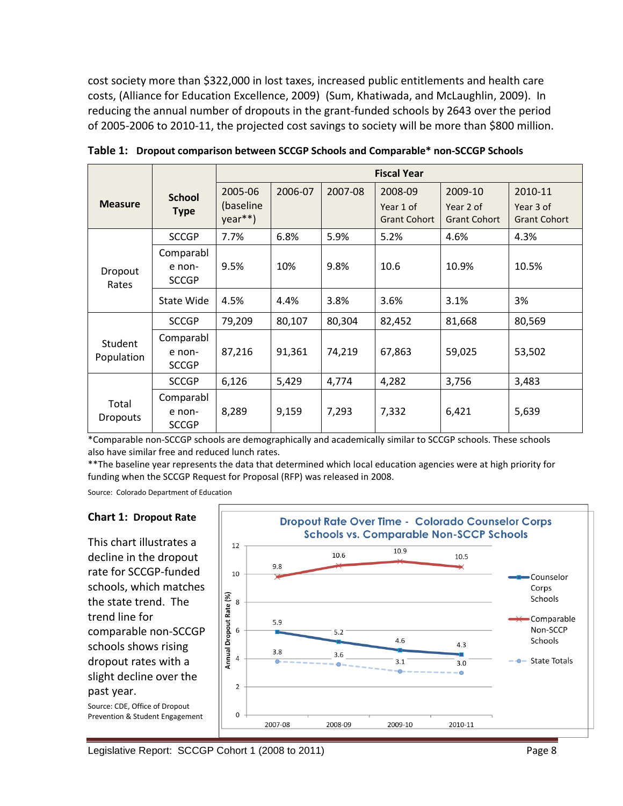cost society more than \$322,000 in lost taxes, increased public entitlements and health care costs, (Alliance for Education Excellence, 2009) (Sum, Khatiwada, and McLaughlin, 2009). In reducing the annual number of dropouts in the grant-funded schools by 2643 over the period of 2005-2006 to 2010-11, the projected cost savings to society will be more than \$800 million.

|                          |                                     |                                 | <b>Fiscal Year</b> |         |                                             |                                             |                                             |
|--------------------------|-------------------------------------|---------------------------------|--------------------|---------|---------------------------------------------|---------------------------------------------|---------------------------------------------|
| <b>Measure</b>           | <b>School</b><br><b>Type</b>        | 2005-06<br>(baseline<br>year**) | 2006-07            | 2007-08 | 2008-09<br>Year 1 of<br><b>Grant Cohort</b> | 2009-10<br>Year 2 of<br><b>Grant Cohort</b> | 2010-11<br>Year 3 of<br><b>Grant Cohort</b> |
|                          | <b>SCCGP</b>                        | 7.7%                            | 6.8%               | 5.9%    | 5.2%                                        | 4.6%                                        | 4.3%                                        |
| Dropout<br>Rates         | Comparabl<br>e non-<br><b>SCCGP</b> | 9.5%                            | 10%                | 9.8%    | 10.6                                        | 10.9%                                       | 10.5%                                       |
|                          | State Wide                          | 4.5%                            | 4.4%               | 3.8%    | 3.6%                                        | 3.1%                                        | 3%                                          |
|                          | <b>SCCGP</b>                        | 79,209                          | 80,107             | 80,304  | 82,452                                      | 81,668                                      | 80,569                                      |
| Student<br>Population    | Comparabl<br>e non-<br><b>SCCGP</b> | 87,216                          | 91,361             | 74,219  | 67,863                                      | 59,025                                      | 53,502                                      |
|                          | <b>SCCGP</b>                        | 6,126                           | 5,429              | 4,774   | 4,282                                       | 3,756                                       | 3,483                                       |
| Total<br><b>Dropouts</b> | Comparabl<br>e non-<br><b>SCCGP</b> | 8,289                           | 9,159              | 7,293   | 7,332                                       | 6,421                                       | 5,639                                       |

**Table 1: Dropout comparison between SCCGP Schools and Comparable\* non-SCCGP Schools**

\*Comparable non-SCCGP schools are demographically and academically similar to SCCGP schools. These schools also have similar free and reduced lunch rates.

\*\*The baseline year represents the data that determined which local education agencies were at high priority for funding when the SCCGP Request for Proposal (RFP) was released in 2008.

Source: Colorado Department of Education

#### **Chart 1: Dropout Rate**

This chart illustrates a decline in the dropout rate for SCCGP-funded schools, which matches the state trend. The trend line for comparable non-SCCGP schools shows rising dropout rates with a slight decline over the past year. Source: CDE, Office of Dropout

Prevention & Student Engagement

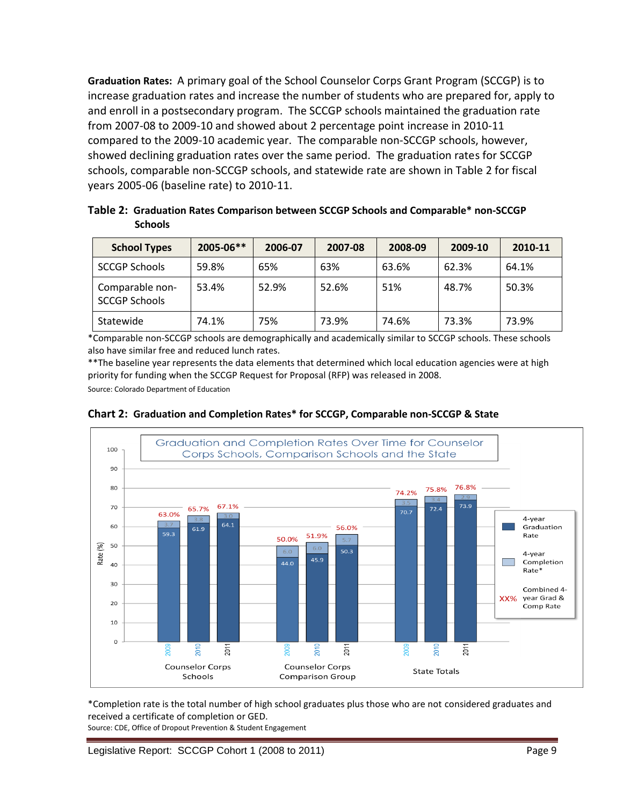**Graduation Rates:** A primary goal of the School Counselor Corps Grant Program (SCCGP) is to increase graduation rates and increase the number of students who are prepared for, apply to and enroll in a postsecondary program. The SCCGP schools maintained the graduation rate from 2007-08 to 2009-10 and showed about 2 percentage point increase in 2010-11 compared to the 2009-10 academic year. The comparable non-SCCGP schools, however, showed declining graduation rates over the same period. The graduation rates for SCCGP schools, comparable non-SCCGP schools, and statewide rate are shown in Table 2 for fiscal years 2005-06 (baseline rate) to 2010-11.

**Table 2: Graduation Rates Comparison between SCCGP Schools and Comparable\* non-SCCGP Schools**

| <b>School Types</b>                     | 2005-06** | 2006-07 | 2007-08 | 2008-09 | 2009-10 | 2010-11 |
|-----------------------------------------|-----------|---------|---------|---------|---------|---------|
| <b>SCCGP Schools</b>                    | 59.8%     | 65%     | 63%     | 63.6%   | 62.3%   | 64.1%   |
| Comparable non-<br><b>SCCGP Schools</b> | 53.4%     | 52.9%   | 52.6%   | 51%     | 48.7%   | 50.3%   |
| Statewide                               | 74.1%     | 75%     | 73.9%   | 74.6%   | 73.3%   | 73.9%   |

\*Comparable non-SCCGP schools are demographically and academically similar to SCCGP schools. These schools also have similar free and reduced lunch rates.

\*\*The baseline year represents the data elements that determined which local education agencies were at high priority for funding when the SCCGP Request for Proposal (RFP) was released in 2008.

Source: Colorado Department of Education



**Chart 2: Graduation and Completion Rates\* for SCCGP, Comparable non-SCCGP & State** 

\*Completion rate is the total number of high school graduates plus those who are not considered graduates and received a certificate of completion or GED.

Source: CDE, Office of Dropout Prevention & Student Engagement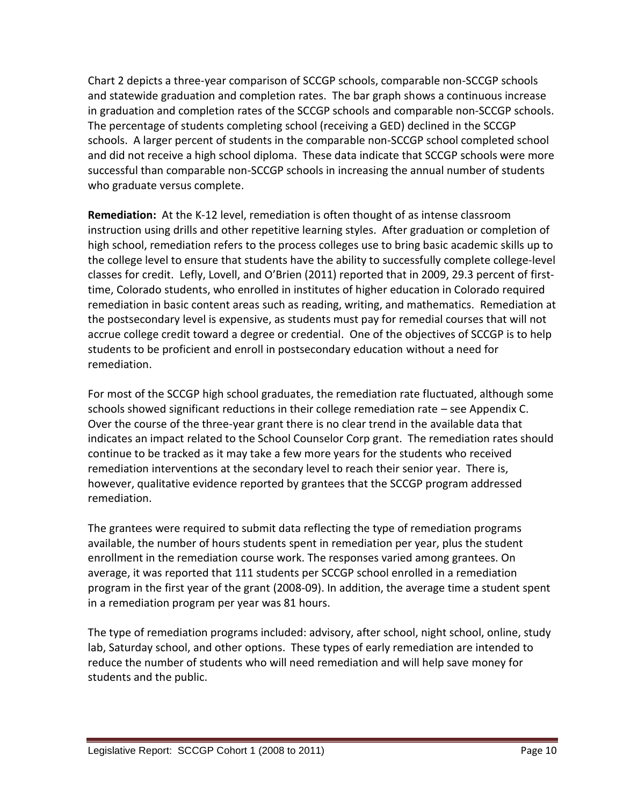Chart 2 depicts a three-year comparison of SCCGP schools, comparable non-SCCGP schools and statewide graduation and completion rates. The bar graph shows a continuous increase in graduation and completion rates of the SCCGP schools and comparable non-SCCGP schools. The percentage of students completing school (receiving a GED) declined in the SCCGP schools. A larger percent of students in the comparable non-SCCGP school completed school and did not receive a high school diploma. These data indicate that SCCGP schools were more successful than comparable non-SCCGP schools in increasing the annual number of students who graduate versus complete.

**Remediation:** At the K-12 level, remediation is often thought of as intense classroom instruction using drills and other repetitive learning styles. After graduation or completion of high school, remediation refers to the process colleges use to bring basic academic skills up to the college level to ensure that students have the ability to successfully complete college-level classes for credit. Lefly, Lovell, and O'Brien (2011) reported that in 2009, 29.3 percent of firsttime, Colorado students, who enrolled in institutes of higher education in Colorado required remediation in basic content areas such as reading, writing, and mathematics. Remediation at the postsecondary level is expensive, as students must pay for remedial courses that will not accrue college credit toward a degree or credential. One of the objectives of SCCGP is to help students to be proficient and enroll in postsecondary education without a need for remediation.

For most of the SCCGP high school graduates, the remediation rate fluctuated, although some schools showed significant reductions in their college remediation rate – see Appendix C. Over the course of the three-year grant there is no clear trend in the available data that indicates an impact related to the School Counselor Corp grant. The remediation rates should continue to be tracked as it may take a few more years for the students who received remediation interventions at the secondary level to reach their senior year. There is, however, qualitative evidence reported by grantees that the SCCGP program addressed remediation.

The grantees were required to submit data reflecting the type of remediation programs available, the number of hours students spent in remediation per year, plus the student enrollment in the remediation course work. The responses varied among grantees. On average, it was reported that 111 students per SCCGP school enrolled in a remediation program in the first year of the grant (2008-09). In addition, the average time a student spent in a remediation program per year was 81 hours.

The type of remediation programs included: advisory, after school, night school, online, study lab, Saturday school, and other options. These types of early remediation are intended to reduce the number of students who will need remediation and will help save money for students and the public.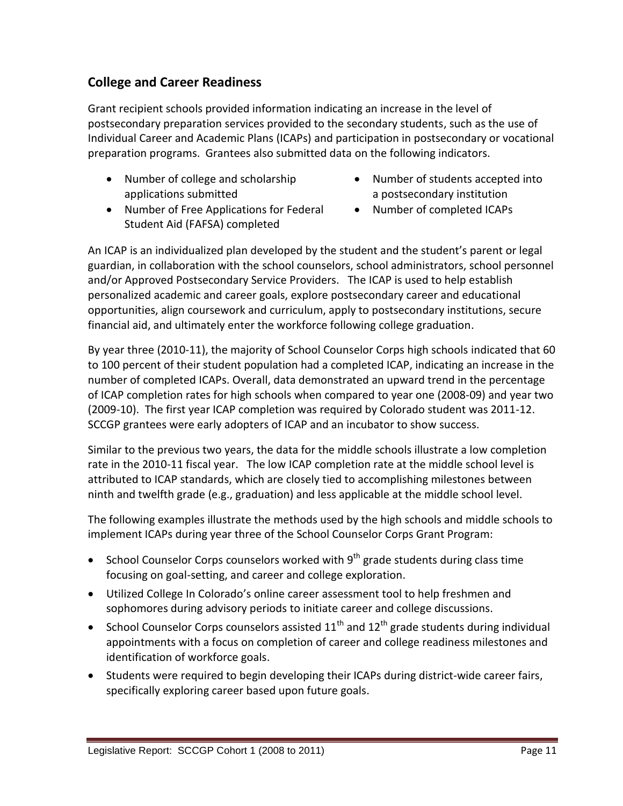### **College and Career Readiness**

Grant recipient schools provided information indicating an increase in the level of postsecondary preparation services provided to the secondary students, such as the use of Individual Career and Academic Plans (ICAPs) and participation in postsecondary or vocational preparation programs. Grantees also submitted data on the following indicators.

- Number of college and scholarship applications submitted
- Number of Free Applications for Federal Student Aid (FAFSA) completed
- Number of students accepted into a postsecondary institution
- Number of completed ICAPs

An ICAP is an individualized plan developed by the student and the student's parent or legal guardian, in collaboration with the school counselors, school administrators, school personnel and/or Approved Postsecondary Service Providers. The ICAP is used to help establish personalized academic and career goals, explore postsecondary career and educational opportunities, align coursework and curriculum, apply to postsecondary institutions, secure financial aid, and ultimately enter the workforce following college graduation.

By year three (2010-11), the majority of School Counselor Corps high schools indicated that 60 to 100 percent of their student population had a completed ICAP, indicating an increase in the number of completed ICAPs. Overall, data demonstrated an upward trend in the percentage of ICAP completion rates for high schools when compared to year one (2008-09) and year two (2009-10). The first year ICAP completion was required by Colorado student was 2011-12. SCCGP grantees were early adopters of ICAP and an incubator to show success.

Similar to the previous two years, the data for the middle schools illustrate a low completion rate in the 2010-11 fiscal year. The low ICAP completion rate at the middle school level is attributed to ICAP standards, which are closely tied to accomplishing milestones between ninth and twelfth grade (e.g., graduation) and less applicable at the middle school level.

The following examples illustrate the methods used by the high schools and middle schools to implement ICAPs during year three of the School Counselor Corps Grant Program:

- School Counselor Corps counselors worked with  $9<sup>th</sup>$  grade students during class time focusing on goal-setting, and career and college exploration.
- Utilized College In Colorado's online career assessment tool to help freshmen and sophomores during advisory periods to initiate career and college discussions.
- School Counselor Corps counselors assisted  $11<sup>th</sup>$  and  $12<sup>th</sup>$  grade students during individual appointments with a focus on completion of career and college readiness milestones and identification of workforce goals.
- Students were required to begin developing their ICAPs during district-wide career fairs, specifically exploring career based upon future goals.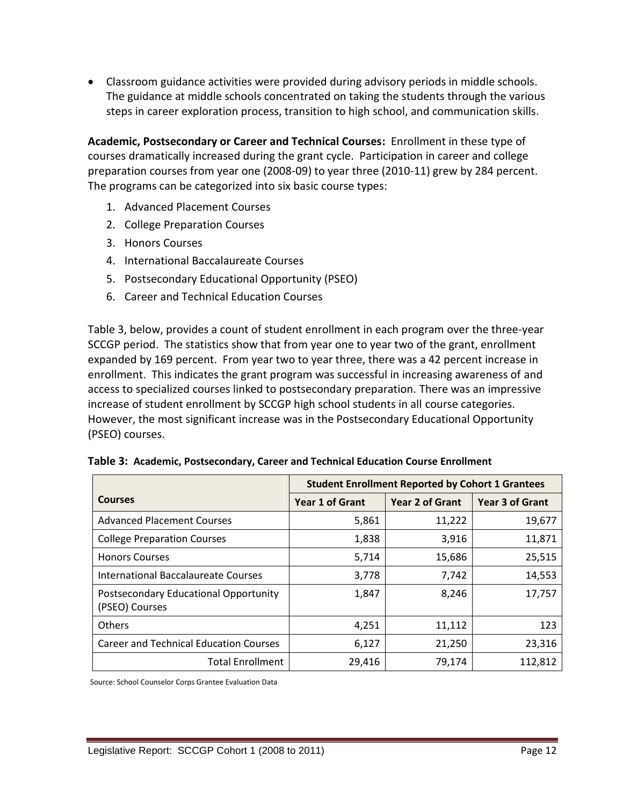Classroom guidance activities were provided during advisory periods in middle schools. The guidance at middle schools concentrated on taking the students through the various steps in career exploration process, transition to high school, and communication skills.

**Academic, Postsecondary or Career and Technical Courses:** Enrollment in these type of courses dramatically increased during the grant cycle. Participation in career and college preparation courses from year one (2008-09) to year three (2010-11) grew by 284 percent. The programs can be categorized into six basic course types:

- 1. Advanced Placement Courses
- 2. College Preparation Courses
- 3. Honors Courses
- 4. International Baccalaureate Courses
- 5. Postsecondary Educational Opportunity (PSEO)
- 6. Career and Technical Education Courses

Table 3, below, provides a count of student enrollment in each program over the three-year SCCGP period. The statistics show that from year one to year two of the grant, enrollment expanded by 169 percent. From year two to year three, there was a 42 percent increase in enrollment. This indicates the grant program was successful in increasing awareness of and access to specialized courses linked to postsecondary preparation. There was an impressive increase of student enrollment by SCCGP high school students in all course categories. However, the most significant increase was in the Postsecondary Educational Opportunity (PSEO) courses.

|                                                         | <b>Student Enrollment Reported by Cohort 1 Grantees</b> |                        |                        |  |  |
|---------------------------------------------------------|---------------------------------------------------------|------------------------|------------------------|--|--|
| <b>Courses</b>                                          | <b>Year 1 of Grant</b>                                  | <b>Year 2 of Grant</b> | <b>Year 3 of Grant</b> |  |  |
| <b>Advanced Placement Courses</b>                       | 5,861                                                   | 11,222                 | 19,677                 |  |  |
| <b>College Preparation Courses</b>                      | 1,838                                                   | 3,916                  | 11,871                 |  |  |
| <b>Honors Courses</b>                                   | 5,714                                                   | 15,686                 | 25,515                 |  |  |
| International Baccalaureate Courses                     | 3,778                                                   | 7,742                  | 14,553                 |  |  |
| Postsecondary Educational Opportunity<br>(PSEO) Courses | 1,847                                                   | 8,246                  | 17,757                 |  |  |
| <b>Others</b>                                           | 4,251                                                   | 11,112                 | 123                    |  |  |
| <b>Career and Technical Education Courses</b>           | 6,127                                                   | 21,250                 | 23,316                 |  |  |
| <b>Total Enrollment</b>                                 | 29,416                                                  | 79,174                 | 112,812                |  |  |

Source: School Counselor Corps Grantee Evaluation Data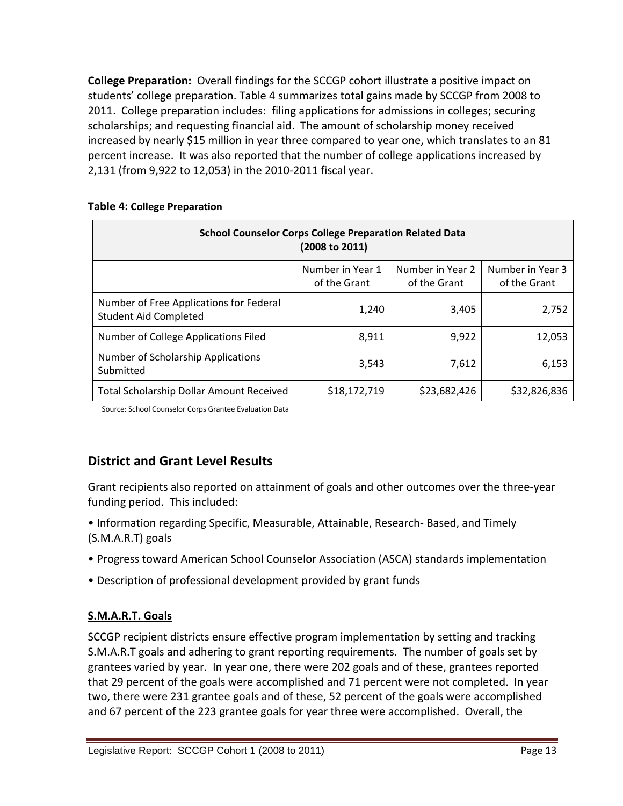**College Preparation:** Overall findings for the SCCGP cohort illustrate a positive impact on students' college preparation. Table 4 summarizes total gains made by SCCGP from 2008 to 2011. College preparation includes: filing applications for admissions in colleges; securing scholarships; and requesting financial aid. The amount of scholarship money received increased by nearly \$15 million in year three compared to year one, which translates to an 81 percent increase. It was also reported that the number of college applications increased by 2,131 (from 9,922 to 12,053) in the 2010-2011 fiscal year.

#### **Table 4: College Preparation**

| <b>School Counselor Corps College Preparation Related Data</b><br>(2008 to 2011) |                                  |                                  |                                  |  |  |  |
|----------------------------------------------------------------------------------|----------------------------------|----------------------------------|----------------------------------|--|--|--|
|                                                                                  | Number in Year 1<br>of the Grant | Number in Year 2<br>of the Grant | Number in Year 3<br>of the Grant |  |  |  |
| Number of Free Applications for Federal<br><b>Student Aid Completed</b>          | 1,240                            | 3,405                            | 2,752                            |  |  |  |
| Number of College Applications Filed                                             | 8,911                            | 9,922                            | 12,053                           |  |  |  |
| Number of Scholarship Applications<br>Submitted                                  | 3,543                            | 7,612                            | 6,153                            |  |  |  |
| Total Scholarship Dollar Amount Received                                         | \$18,172,719                     | \$23,682,426                     | \$32,826,836                     |  |  |  |

Source: School Counselor Corps Grantee Evaluation Data

# **District and Grant Level Results**

Grant recipients also reported on attainment of goals and other outcomes over the three-year funding period. This included:

- Information regarding Specific, Measurable, Attainable, Research- Based, and Timely (S.M.A.R.T) goals
- Progress toward American School Counselor Association (ASCA) standards implementation
- Description of professional development provided by grant funds

#### **S.M.A.R.T. Goals**

SCCGP recipient districts ensure effective program implementation by setting and tracking S.M.A.R.T goals and adhering to grant reporting requirements. The number of goals set by grantees varied by year. In year one, there were 202 goals and of these, grantees reported that 29 percent of the goals were accomplished and 71 percent were not completed. In year two, there were 231 grantee goals and of these, 52 percent of the goals were accomplished and 67 percent of the 223 grantee goals for year three were accomplished. Overall, the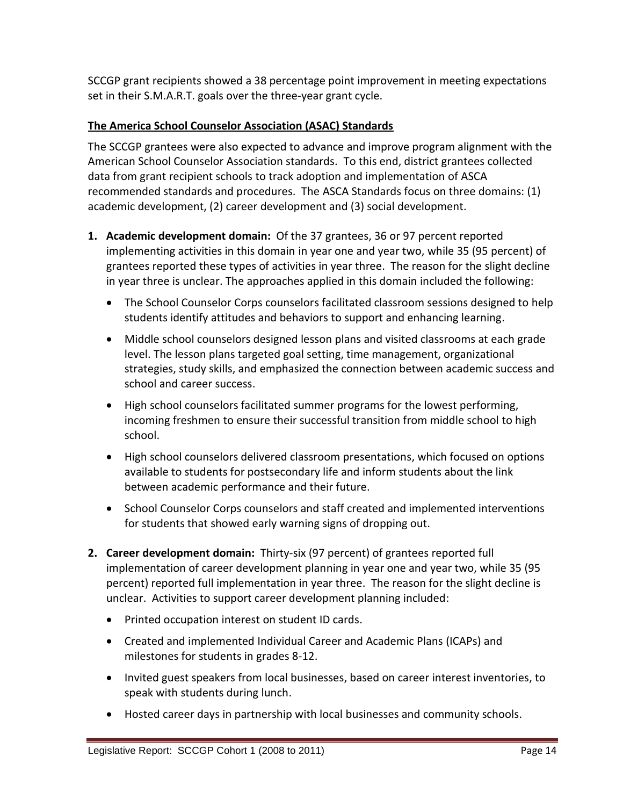SCCGP grant recipients showed a 38 percentage point improvement in meeting expectations set in their S.M.A.R.T. goals over the three-year grant cycle.

#### **The America School Counselor Association (ASAC) Standards**

The SCCGP grantees were also expected to advance and improve program alignment with the American School Counselor Association standards. To this end, district grantees collected data from grant recipient schools to track adoption and implementation of ASCA recommended standards and procedures. The ASCA Standards focus on three domains: (1) academic development, (2) career development and (3) social development.

- **1. Academic development domain:** Of the 37 grantees, 36 or 97 percent reported implementing activities in this domain in year one and year two, while 35 (95 percent) of grantees reported these types of activities in year three. The reason for the slight decline in year three is unclear. The approaches applied in this domain included the following:
	- The School Counselor Corps counselors facilitated classroom sessions designed to help students identify attitudes and behaviors to support and enhancing learning.
	- Middle school counselors designed lesson plans and visited classrooms at each grade level. The lesson plans targeted goal setting, time management, organizational strategies, study skills, and emphasized the connection between academic success and school and career success.
	- High school counselors facilitated summer programs for the lowest performing, incoming freshmen to ensure their successful transition from middle school to high school.
	- High school counselors delivered classroom presentations, which focused on options available to students for postsecondary life and inform students about the link between academic performance and their future.
	- School Counselor Corps counselors and staff created and implemented interventions for students that showed early warning signs of dropping out.
- **2. Career development domain:** Thirty-six (97 percent) of grantees reported full implementation of career development planning in year one and year two, while 35 (95 percent) reported full implementation in year three. The reason for the slight decline is unclear. Activities to support career development planning included:
	- Printed occupation interest on student ID cards.
	- Created and implemented Individual Career and Academic Plans (ICAPs) and milestones for students in grades 8-12.
	- Invited guest speakers from local businesses, based on career interest inventories, to speak with students during lunch.
	- Hosted career days in partnership with local businesses and community schools.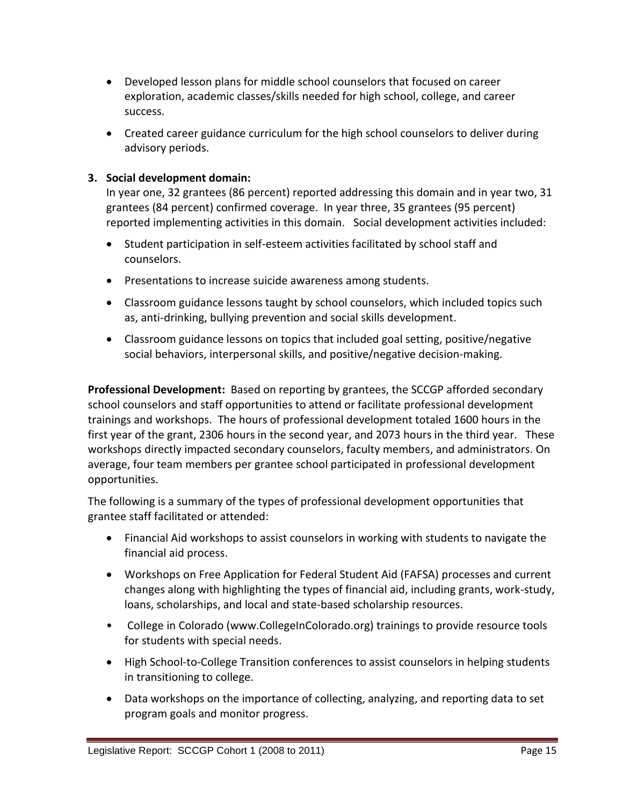- Developed lesson plans for middle school counselors that focused on career exploration, academic classes/skills needed for high school, college, and career success.
- Created career guidance curriculum for the high school counselors to deliver during advisory periods.

#### **3. Social development domain:**

In year one, 32 grantees (86 percent) reported addressing this domain and in year two, 31 grantees (84 percent) confirmed coverage. In year three, 35 grantees (95 percent) reported implementing activities in this domain. Social development activities included:

- Student participation in self-esteem activities facilitated by school staff and counselors.
- Presentations to increase suicide awareness among students.
- Classroom guidance lessons taught by school counselors, which included topics such as, anti-drinking, bullying prevention and social skills development.
- Classroom guidance lessons on topics that included goal setting, positive/negative social behaviors, interpersonal skills, and positive/negative decision-making.

**Professional Development:** Based on reporting by grantees, the SCCGP afforded secondary school counselors and staff opportunities to attend or facilitate professional development trainings and workshops. The hours of professional development totaled 1600 hours in the first year of the grant, 2306 hours in the second year, and 2073 hours in the third year. These workshops directly impacted secondary counselors, faculty members, and administrators. On average, four team members per grantee school participated in professional development opportunities.

The following is a summary of the types of professional development opportunities that grantee staff facilitated or attended:

- Financial Aid workshops to assist counselors in working with students to navigate the financial aid process.
- Workshops on Free Application for Federal Student Aid (FAFSA) processes and current changes along with highlighting the types of financial aid, including grants, work-study, loans, scholarships, and local and state-based scholarship resources.
- College in Colorado (www.CollegeInColorado.org) trainings to provide resource tools for students with special needs.
- High School-to-College Transition conferences to assist counselors in helping students in transitioning to college.
- Data workshops on the importance of collecting, analyzing, and reporting data to set program goals and monitor progress.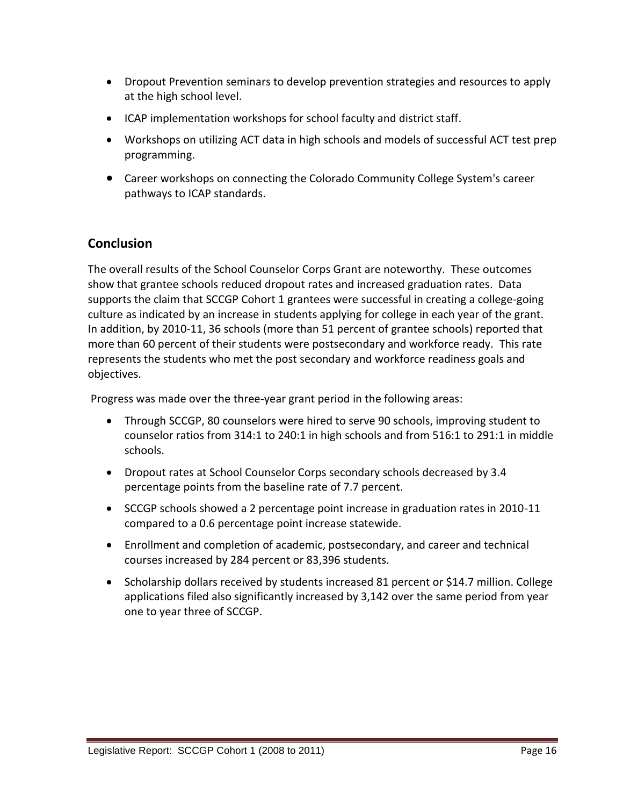- Dropout Prevention seminars to develop prevention strategies and resources to apply at the high school level.
- ICAP implementation workshops for school faculty and district staff.
- Workshops on utilizing ACT data in high schools and models of successful ACT test prep programming.
- Career workshops on connecting the Colorado Community College System's career pathways to ICAP standards.

### **Conclusion**

The overall results of the School Counselor Corps Grant are noteworthy. These outcomes show that grantee schools reduced dropout rates and increased graduation rates. Data supports the claim that SCCGP Cohort 1 grantees were successful in creating a college-going culture as indicated by an increase in students applying for college in each year of the grant. In addition, by 2010-11, 36 schools (more than 51 percent of grantee schools) reported that more than 60 percent of their students were postsecondary and workforce ready. This rate represents the students who met the post secondary and workforce readiness goals and objectives.

Progress was made over the three-year grant period in the following areas:

- Through SCCGP, 80 counselors were hired to serve 90 schools, improving student to counselor ratios from 314:1 to 240:1 in high schools and from 516:1 to 291:1 in middle schools.
- Dropout rates at School Counselor Corps secondary schools decreased by 3.4 percentage points from the baseline rate of 7.7 percent.
- SCCGP schools showed a 2 percentage point increase in graduation rates in 2010-11 compared to a 0.6 percentage point increase statewide.
- Enrollment and completion of academic, postsecondary, and career and technical courses increased by 284 percent or 83,396 students.
- Scholarship dollars received by students increased 81 percent or \$14.7 million. College applications filed also significantly increased by 3,142 over the same period from year one to year three of SCCGP.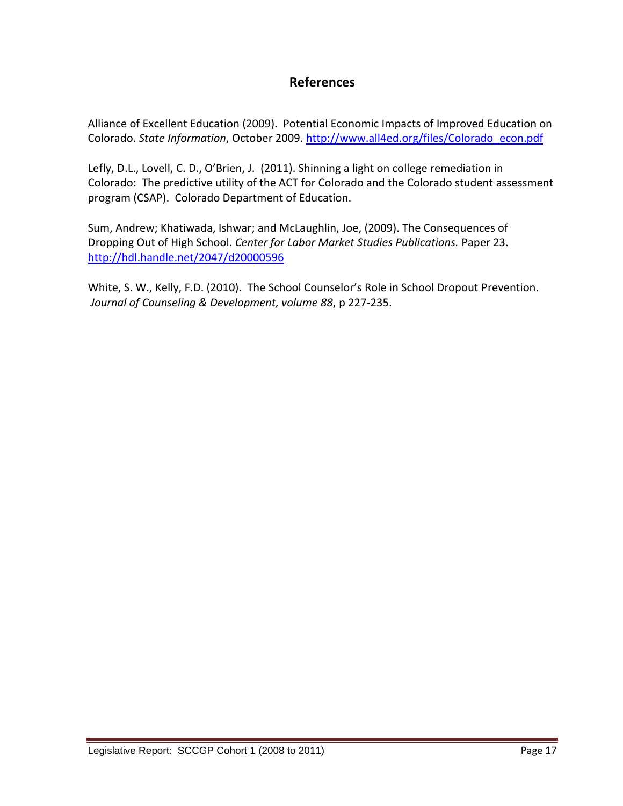### **References**

Alliance of Excellent Education (2009). Potential Economic Impacts of Improved Education on Colorado. *State Information*, October 2009. [http://www.all4ed.org/files/Colorado\\_econ.pdf](http://www.all4ed.org/files/Colorado_econ.pdf)

Lefly, D.L., Lovell, C. D., O'Brien, J. (2011). Shinning a light on college remediation in Colorado: The predictive utility of the ACT for Colorado and the Colorado student assessment program (CSAP). Colorado Department of Education.

Sum, Andrew; Khatiwada, Ishwar; and McLaughlin, Joe, (2009). The Consequences of Dropping Out of High School. *Center for Labor Market Studies Publications.* Paper 23. <http://hdl.handle.net/2047/d20000596>

White, S. W., Kelly, F.D. (2010). The School Counselor's Role in School Dropout Prevention. *Journal of Counseling & Development, volume 88*, p 227-235.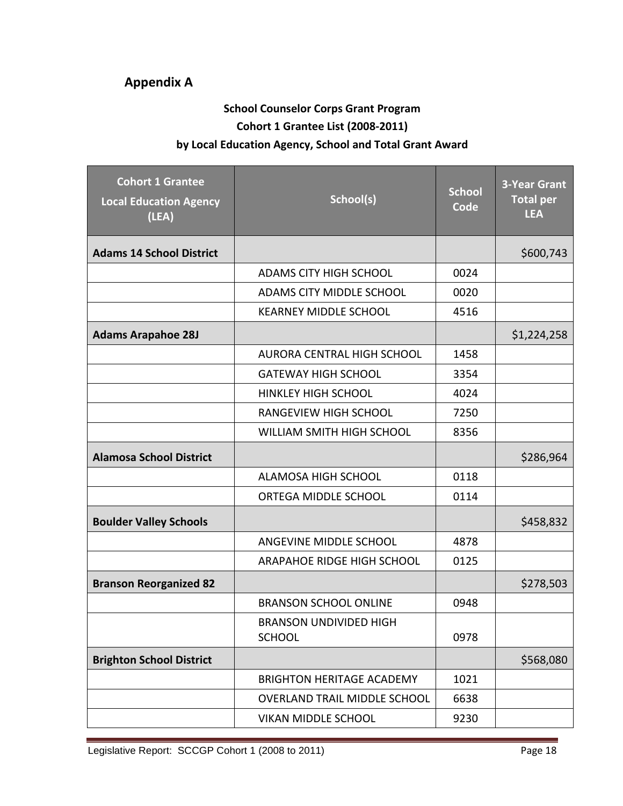# **Appendix A**

# **School Counselor Corps Grant Program Cohort 1 Grantee List (2008-2011) by Local Education Agency, School and Total Grant Award**

| <b>Cohort 1 Grantee</b><br><b>Local Education Agency</b><br>(LEA) | School(s)                                      | <b>School</b><br>Code | <b>3-Year Grant</b><br><b>Total per</b><br><b>LEA</b> |
|-------------------------------------------------------------------|------------------------------------------------|-----------------------|-------------------------------------------------------|
| <b>Adams 14 School District</b>                                   |                                                |                       | \$600,743                                             |
|                                                                   | <b>ADAMS CITY HIGH SCHOOL</b>                  | 0024                  |                                                       |
|                                                                   | ADAMS CITY MIDDLE SCHOOL                       | 0020                  |                                                       |
|                                                                   | <b>KEARNEY MIDDLE SCHOOL</b>                   | 4516                  |                                                       |
| <b>Adams Arapahoe 28J</b>                                         |                                                |                       | \$1,224,258                                           |
|                                                                   | AURORA CENTRAL HIGH SCHOOL                     | 1458                  |                                                       |
|                                                                   | <b>GATEWAY HIGH SCHOOL</b>                     | 3354                  |                                                       |
|                                                                   | <b>HINKLEY HIGH SCHOOL</b>                     | 4024                  |                                                       |
|                                                                   | RANGEVIEW HIGH SCHOOL                          | 7250                  |                                                       |
|                                                                   | WILLIAM SMITH HIGH SCHOOL                      | 8356                  |                                                       |
| <b>Alamosa School District</b>                                    |                                                |                       | \$286,964                                             |
|                                                                   | <b>ALAMOSA HIGH SCHOOL</b>                     | 0118                  |                                                       |
|                                                                   | ORTEGA MIDDLE SCHOOL                           | 0114                  |                                                       |
| <b>Boulder Valley Schools</b>                                     |                                                |                       | \$458,832                                             |
|                                                                   | ANGEVINE MIDDLE SCHOOL                         | 4878                  |                                                       |
|                                                                   | ARAPAHOE RIDGE HIGH SCHOOL                     | 0125                  |                                                       |
| <b>Branson Reorganized 82</b>                                     |                                                |                       | \$278,503                                             |
|                                                                   | <b>BRANSON SCHOOL ONLINE</b>                   | 0948                  |                                                       |
|                                                                   | <b>BRANSON UNDIVIDED HIGH</b><br><b>SCHOOL</b> | 0978                  |                                                       |
| <b>Brighton School District</b>                                   |                                                |                       | \$568,080                                             |
|                                                                   | <b>BRIGHTON HERITAGE ACADEMY</b>               | 1021                  |                                                       |
|                                                                   | <b>OVERLAND TRAIL MIDDLE SCHOOL</b>            | 6638                  |                                                       |
|                                                                   | <b>VIKAN MIDDLE SCHOOL</b>                     | 9230                  |                                                       |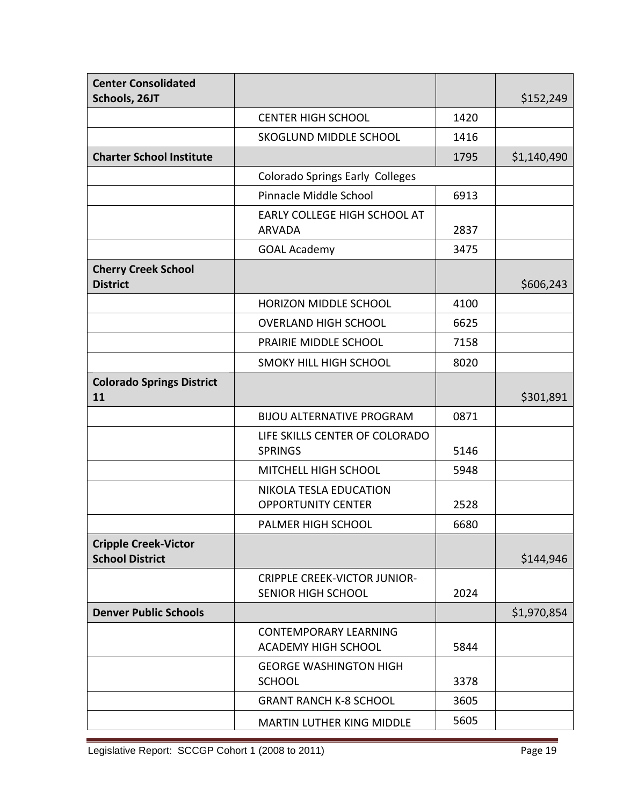| <b>Center Consolidated</b><br>Schools, 26JT           |                                                                  |      | \$152,249   |
|-------------------------------------------------------|------------------------------------------------------------------|------|-------------|
|                                                       | <b>CENTER HIGH SCHOOL</b>                                        | 1420 |             |
|                                                       | SKOGLUND MIDDLE SCHOOL                                           | 1416 |             |
| <b>Charter School Institute</b>                       |                                                                  | 1795 | \$1,140,490 |
|                                                       | Colorado Springs Early Colleges                                  |      |             |
|                                                       | Pinnacle Middle School                                           | 6913 |             |
|                                                       | EARLY COLLEGE HIGH SCHOOL AT<br><b>ARVADA</b>                    | 2837 |             |
|                                                       | <b>GOAL Academy</b>                                              | 3475 |             |
| <b>Cherry Creek School</b><br><b>District</b>         |                                                                  |      | \$606,243   |
|                                                       | HORIZON MIDDLE SCHOOL                                            | 4100 |             |
|                                                       | <b>OVERLAND HIGH SCHOOL</b>                                      | 6625 |             |
|                                                       | PRAIRIE MIDDLE SCHOOL                                            | 7158 |             |
|                                                       | <b>SMOKY HILL HIGH SCHOOL</b>                                    | 8020 |             |
| <b>Colorado Springs District</b><br>11                |                                                                  |      | \$301,891   |
|                                                       | <b>BIJOU ALTERNATIVE PROGRAM</b>                                 | 0871 |             |
|                                                       | LIFE SKILLS CENTER OF COLORADO<br><b>SPRINGS</b>                 | 5146 |             |
|                                                       | MITCHELL HIGH SCHOOL                                             | 5948 |             |
|                                                       | <b>NIKOLA TESLA EDUCATION</b><br><b>OPPORTUNITY CENTER</b>       | 2528 |             |
|                                                       | PALMER HIGH SCHOOL                                               | 6680 |             |
| <b>Cripple Creek-Victor</b><br><b>School District</b> |                                                                  |      | \$144,946   |
|                                                       | <b>CRIPPLE CREEK-VICTOR JUNIOR-</b><br><b>SENIOR HIGH SCHOOL</b> | 2024 |             |
| <b>Denver Public Schools</b>                          |                                                                  |      | \$1,970,854 |
|                                                       | <b>CONTEMPORARY LEARNING</b><br><b>ACADEMY HIGH SCHOOL</b>       | 5844 |             |
|                                                       | <b>GEORGE WASHINGTON HIGH</b><br><b>SCHOOL</b>                   | 3378 |             |
|                                                       | <b>GRANT RANCH K-8 SCHOOL</b>                                    | 3605 |             |
|                                                       | <b>MARTIN LUTHER KING MIDDLE</b>                                 | 5605 |             |

÷,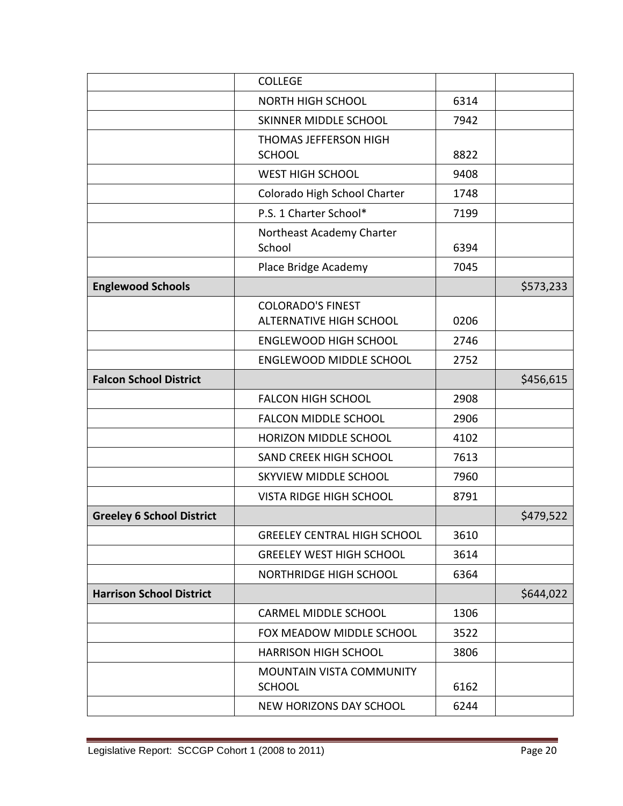|                                  | <b>COLLEGE</b>                                   |      |           |
|----------------------------------|--------------------------------------------------|------|-----------|
|                                  | <b>NORTH HIGH SCHOOL</b>                         | 6314 |           |
|                                  | SKINNER MIDDLE SCHOOL                            | 7942 |           |
|                                  | <b>THOMAS JEFFERSON HIGH</b>                     |      |           |
|                                  | <b>SCHOOL</b>                                    | 8822 |           |
|                                  | <b>WEST HIGH SCHOOL</b>                          | 9408 |           |
|                                  | Colorado High School Charter                     | 1748 |           |
|                                  | P.S. 1 Charter School*                           | 7199 |           |
|                                  | Northeast Academy Charter<br>School              | 6394 |           |
|                                  | Place Bridge Academy                             | 7045 |           |
| <b>Englewood Schools</b>         |                                                  |      | \$573,233 |
|                                  | <b>COLORADO'S FINEST</b>                         |      |           |
|                                  | <b>ALTERNATIVE HIGH SCHOOL</b>                   | 0206 |           |
|                                  | <b>ENGLEWOOD HIGH SCHOOL</b>                     | 2746 |           |
|                                  | <b>ENGLEWOOD MIDDLE SCHOOL</b>                   | 2752 |           |
| <b>Falcon School District</b>    |                                                  |      | \$456,615 |
|                                  | <b>FALCON HIGH SCHOOL</b>                        | 2908 |           |
|                                  | <b>FALCON MIDDLE SCHOOL</b>                      | 2906 |           |
|                                  | HORIZON MIDDLE SCHOOL                            | 4102 |           |
|                                  | SAND CREEK HIGH SCHOOL                           | 7613 |           |
|                                  | <b>SKYVIEW MIDDLE SCHOOL</b>                     | 7960 |           |
|                                  | <b>VISTA RIDGE HIGH SCHOOL</b>                   | 8791 |           |
| <b>Greeley 6 School District</b> |                                                  |      | \$479,522 |
|                                  | <b>GREELEY CENTRAL HIGH SCHOOL</b>               | 3610 |           |
|                                  | <b>GREELEY WEST HIGH SCHOOL</b>                  | 3614 |           |
|                                  | <b>NORTHRIDGE HIGH SCHOOL</b>                    | 6364 |           |
| <b>Harrison School District</b>  |                                                  |      | \$644,022 |
|                                  | <b>CARMEL MIDDLE SCHOOL</b>                      | 1306 |           |
|                                  | FOX MEADOW MIDDLE SCHOOL                         | 3522 |           |
|                                  | <b>HARRISON HIGH SCHOOL</b>                      | 3806 |           |
|                                  | <b>MOUNTAIN VISTA COMMUNITY</b><br><b>SCHOOL</b> | 6162 |           |
|                                  | NEW HORIZONS DAY SCHOOL                          | 6244 |           |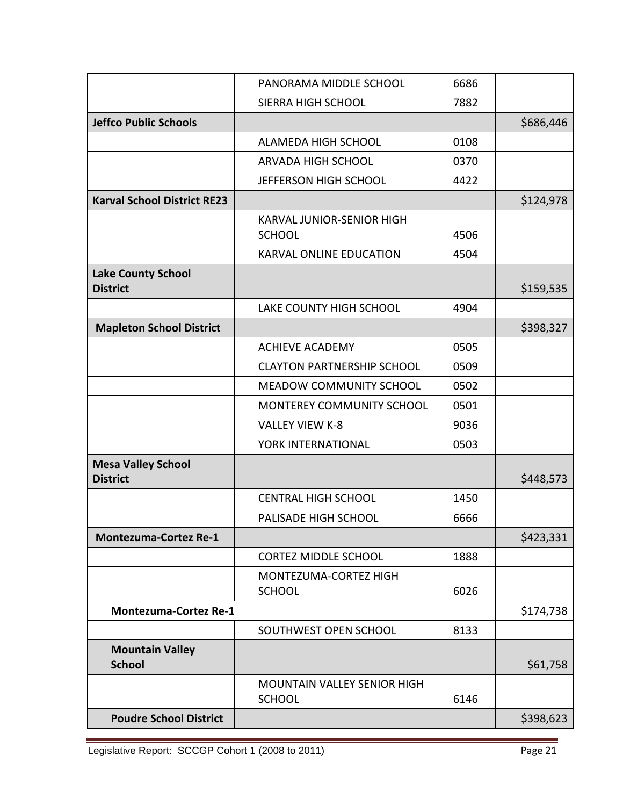|                                              | PANORAMA MIDDLE SCHOOL                            | 6686 |           |
|----------------------------------------------|---------------------------------------------------|------|-----------|
|                                              | SIERRA HIGH SCHOOL                                | 7882 |           |
| <b>Jeffco Public Schools</b>                 |                                                   |      | \$686,446 |
|                                              | ALAMEDA HIGH SCHOOL                               | 0108 |           |
|                                              | <b>ARVADA HIGH SCHOOL</b>                         | 0370 |           |
|                                              | JEFFERSON HIGH SCHOOL                             | 4422 |           |
| <b>Karval School District RE23</b>           |                                                   |      | \$124,978 |
|                                              | <b>KARVAL JUNIOR-SENIOR HIGH</b><br><b>SCHOOL</b> | 4506 |           |
|                                              | KARVAL ONLINE EDUCATION                           | 4504 |           |
| <b>Lake County School</b><br><b>District</b> |                                                   |      | \$159,535 |
|                                              | <b>LAKE COUNTY HIGH SCHOOL</b>                    | 4904 |           |
| <b>Mapleton School District</b>              |                                                   |      | \$398,327 |
|                                              | <b>ACHIEVE ACADEMY</b>                            | 0505 |           |
|                                              | <b>CLAYTON PARTNERSHIP SCHOOL</b>                 | 0509 |           |
|                                              | MEADOW COMMUNITY SCHOOL                           | 0502 |           |
|                                              | MONTEREY COMMUNITY SCHOOL                         | 0501 |           |
|                                              | <b>VALLEY VIEW K-8</b>                            | 9036 |           |
|                                              | YORK INTERNATIONAL                                | 0503 |           |
| <b>Mesa Valley School</b><br><b>District</b> |                                                   |      | \$448,573 |
|                                              | <b>CENTRAL HIGH SCHOOL</b>                        | 1450 |           |
|                                              | PALISADE HIGH SCHOOL                              | 6666 |           |
| <b>Montezuma-Cortez Re-1</b>                 |                                                   |      | \$423,331 |
|                                              | <b>CORTEZ MIDDLE SCHOOL</b>                       | 1888 |           |
|                                              | MONTEZUMA-CORTEZ HIGH<br><b>SCHOOL</b>            | 6026 |           |
| <b>Montezuma-Cortez Re-1</b>                 |                                                   |      | \$174,738 |
|                                              | SOUTHWEST OPEN SCHOOL                             | 8133 |           |
| <b>Mountain Valley</b><br><b>School</b>      |                                                   |      | \$61,758  |
|                                              | MOUNTAIN VALLEY SENIOR HIGH<br><b>SCHOOL</b>      | 6146 |           |
| <b>Poudre School District</b>                |                                                   |      | \$398,623 |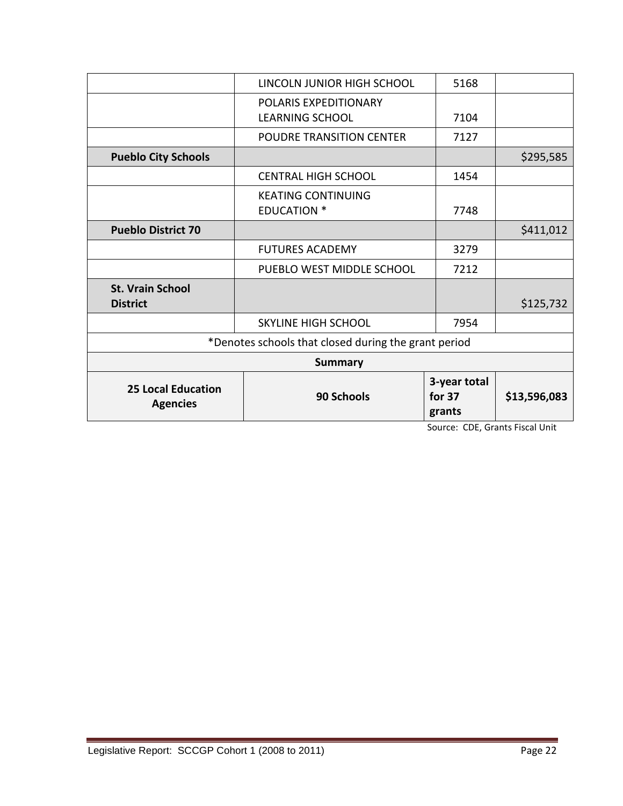| <b>25 Local Education</b><br><b>Agencies</b> | 90 Schools                                           | 3-year total<br>for 37<br>grants | \$13,596,083<br>CDE Constantino History |  |  |
|----------------------------------------------|------------------------------------------------------|----------------------------------|-----------------------------------------|--|--|
| <b>Summary</b>                               |                                                      |                                  |                                         |  |  |
|                                              | *Denotes schools that closed during the grant period |                                  |                                         |  |  |
|                                              | <b>SKYLINE HIGH SCHOOL</b>                           | 7954                             |                                         |  |  |
| <b>St. Vrain School</b><br><b>District</b>   |                                                      |                                  | \$125,732                               |  |  |
|                                              | PUEBLO WEST MIDDLE SCHOOL                            | 7212                             |                                         |  |  |
|                                              | <b>FUTURES ACADEMY</b>                               | 3279                             |                                         |  |  |
| <b>Pueblo District 70</b>                    |                                                      |                                  | \$411,012                               |  |  |
|                                              | <b>KEATING CONTINUING</b><br><b>EDUCATION *</b>      | 7748                             |                                         |  |  |
|                                              | <b>CENTRAL HIGH SCHOOL</b>                           | 1454                             |                                         |  |  |
| <b>Pueblo City Schools</b>                   |                                                      |                                  | \$295,585                               |  |  |
|                                              | POUDRE TRANSITION CENTER                             | 7127                             |                                         |  |  |
|                                              | POLARIS EXPEDITIONARY<br><b>LEARNING SCHOOL</b>      | 7104                             |                                         |  |  |
|                                              | LINCOLN JUNIOR HIGH SCHOOL                           | 5168                             |                                         |  |  |

Source: CDE, Grants Fiscal Unit

 $\sim$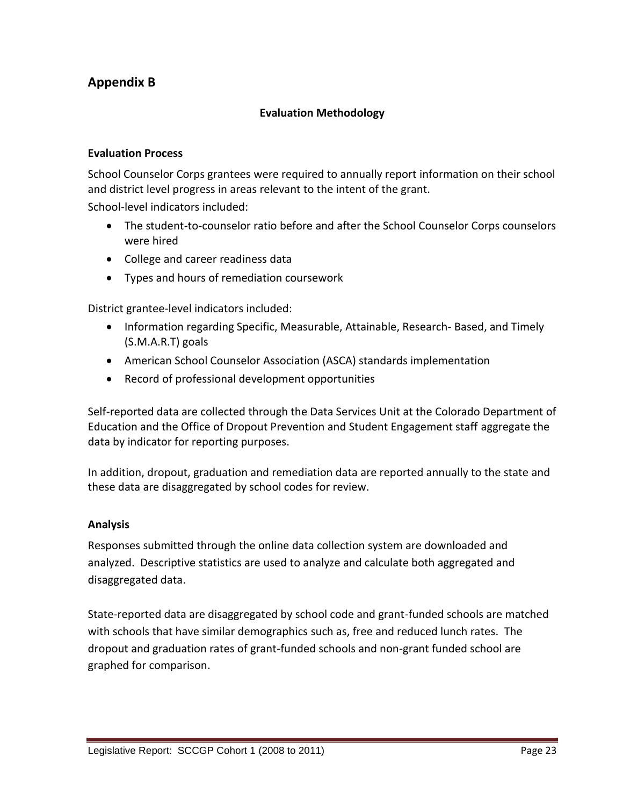## **Appendix B**

#### **Evaluation Methodology**

#### **Evaluation Process**

School Counselor Corps grantees were required to annually report information on their school and district level progress in areas relevant to the intent of the grant.

School-level indicators included:

- The student-to-counselor ratio before and after the School Counselor Corps counselors were hired
- College and career readiness data
- Types and hours of remediation coursework

District grantee-level indicators included:

- Information regarding Specific, Measurable, Attainable, Research- Based, and Timely (S.M.A.R.T) goals
- American School Counselor Association (ASCA) standards implementation
- Record of professional development opportunities

Self-reported data are collected through the Data Services Unit at the Colorado Department of Education and the Office of Dropout Prevention and Student Engagement staff aggregate the data by indicator for reporting purposes.

In addition, dropout, graduation and remediation data are reported annually to the state and these data are disaggregated by school codes for review.

#### **Analysis**

Responses submitted through the online data collection system are downloaded and analyzed. Descriptive statistics are used to analyze and calculate both aggregated and disaggregated data.

State-reported data are disaggregated by school code and grant-funded schools are matched with schools that have similar demographics such as, free and reduced lunch rates. The dropout and graduation rates of grant-funded schools and non-grant funded school are graphed for comparison.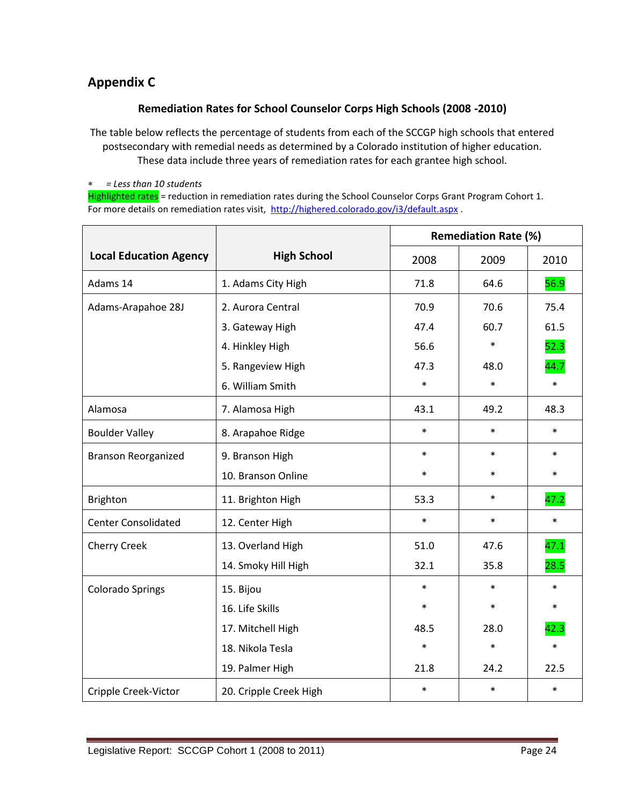## **Appendix C**

#### **Remediation Rates for School Counselor Corps High Schools (2008 -2010)**

The table below reflects the percentage of students from each of the SCCGP high schools that entered postsecondary with remedial needs as determined by a Colorado institution of higher education. These data include three years of remediation rates for each grantee high school.

*= Less than 10 students* 

Highlighted rates = reduction in remediation rates during the School Counselor Corps Grant Program Cohort 1. For more details on remediation rates visit, <http://highered.colorado.gov/i3/default.aspx>.

|                               |                        | <b>Remediation Rate (%)</b> |        |        |
|-------------------------------|------------------------|-----------------------------|--------|--------|
| <b>Local Education Agency</b> | <b>High School</b>     | 2008                        | 2009   | 2010   |
| Adams 14                      | 1. Adams City High     | 71.8                        | 64.6   | 56.9   |
| Adams-Arapahoe 28J            | 2. Aurora Central      | 70.9                        | 70.6   | 75.4   |
|                               | 3. Gateway High        | 47.4                        | 60.7   | 61.5   |
|                               | 4. Hinkley High        | 56.6                        | $\ast$ | 52.3   |
|                               | 5. Rangeview High      | 47.3                        | 48.0   | 44.7   |
|                               | 6. William Smith       | $\ast$                      | $\ast$ | $\ast$ |
| Alamosa                       | 7. Alamosa High        | 43.1                        | 49.2   | 48.3   |
| <b>Boulder Valley</b>         | 8. Arapahoe Ridge      | $\ast$                      | $\ast$ | $\ast$ |
| <b>Branson Reorganized</b>    | 9. Branson High        | $\ast$                      | $\ast$ | $\ast$ |
|                               | 10. Branson Online     | $\ast$                      | $\ast$ | $\ast$ |
| Brighton                      | 11. Brighton High      | 53.3                        | $\ast$ | 47.2   |
| <b>Center Consolidated</b>    | 12. Center High        | $\ast$                      | $\ast$ | $\ast$ |
| Cherry Creek                  | 13. Overland High      | 51.0                        | 47.6   | 47.1   |
|                               | 14. Smoky Hill High    | 32.1                        | 35.8   | 28.5   |
| <b>Colorado Springs</b>       | 15. Bijou              | $\ast$                      | $\ast$ | $\ast$ |
|                               | 16. Life Skills        | $\ast$                      | $\ast$ | $\ast$ |
|                               | 17. Mitchell High      | 48.5                        | 28.0   | 42.3   |
|                               | 18. Nikola Tesla       | $\ast$                      | $\ast$ | $\ast$ |
|                               | 19. Palmer High        | 21.8                        | 24.2   | 22.5   |
| Cripple Creek-Victor          | 20. Cripple Creek High | $\ast$                      | $\ast$ | $\ast$ |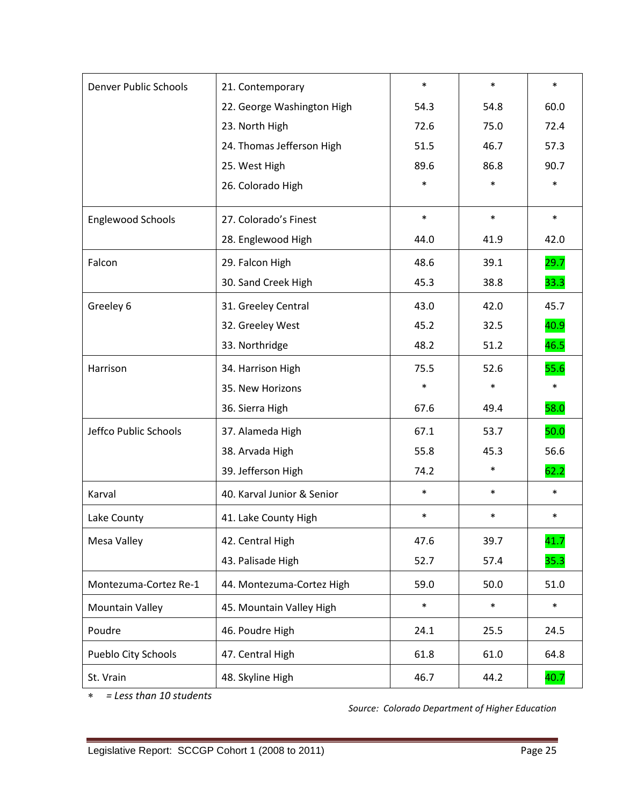| <b>Denver Public Schools</b> | 21. Contemporary           | $\ast$ | $\ast$ | $\ast$ |
|------------------------------|----------------------------|--------|--------|--------|
|                              | 22. George Washington High | 54.3   | 54.8   | 60.0   |
|                              | 23. North High             | 72.6   | 75.0   | 72.4   |
|                              | 24. Thomas Jefferson High  | 51.5   | 46.7   | 57.3   |
|                              | 25. West High              | 89.6   | 86.8   | 90.7   |
|                              | 26. Colorado High          | $\ast$ | $\ast$ | $\ast$ |
| <b>Englewood Schools</b>     | 27. Colorado's Finest      | $\ast$ | $\ast$ | $\ast$ |
|                              | 28. Englewood High         | 44.0   | 41.9   | 42.0   |
| Falcon                       | 29. Falcon High            | 48.6   | 39.1   | 29.7   |
|                              | 30. Sand Creek High        | 45.3   | 38.8   | 33.3   |
| Greeley 6                    | 31. Greeley Central        | 43.0   | 42.0   | 45.7   |
|                              | 32. Greeley West           | 45.2   | 32.5   | 40.9   |
|                              | 33. Northridge             | 48.2   | 51.2   | 46.5   |
| Harrison                     | 34. Harrison High          | 75.5   | 52.6   | 55.6   |
|                              | 35. New Horizons           | $\ast$ | $\ast$ |        |
|                              | 36. Sierra High            | 67.6   | 49.4   | 58.0   |
| Jeffco Public Schools        | 37. Alameda High           | 67.1   | 53.7   | 50.0   |
|                              | 38. Arvada High            | 55.8   | 45.3   | 56.6   |
|                              | 39. Jefferson High         | 74.2   | $\ast$ | 62.2   |
| Karval                       | 40. Karval Junior & Senior | $\ast$ | $\ast$ | $\ast$ |
| Lake County                  | 41. Lake County High       | $\ast$ | $\ast$ | $\ast$ |
| Mesa Valley                  | 42. Central High           | 47.6   | 39.7   | 41.7   |
|                              | 43. Palisade High          | 52.7   | 57.4   | 35.3   |
| Montezuma-Cortez Re-1        | 44. Montezuma-Cortez High  | 59.0   | 50.0   | 51.0   |
| <b>Mountain Valley</b>       | 45. Mountain Valley High   | $\ast$ | $\ast$ | $\ast$ |
| Poudre                       | 46. Poudre High            | 24.1   | 25.5   | 24.5   |
| Pueblo City Schools          | 47. Central High           | 61.8   | 61.0   | 64.8   |
| St. Vrain                    | 48. Skyline High           | 46.7   | 44.2   | 40.7   |

*= Less than 10 students*

*Source: Colorado Department of Higher Education*

 $\sim$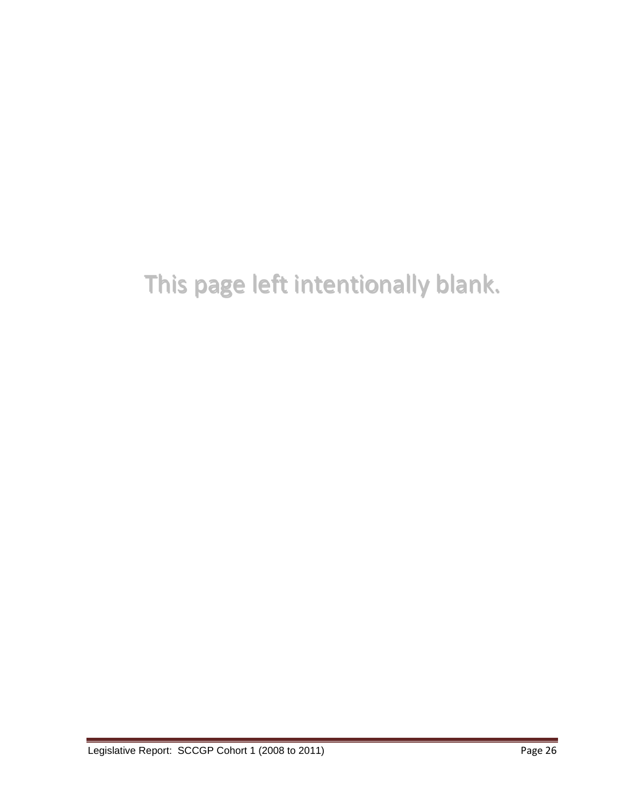# This page left intentionally blank.